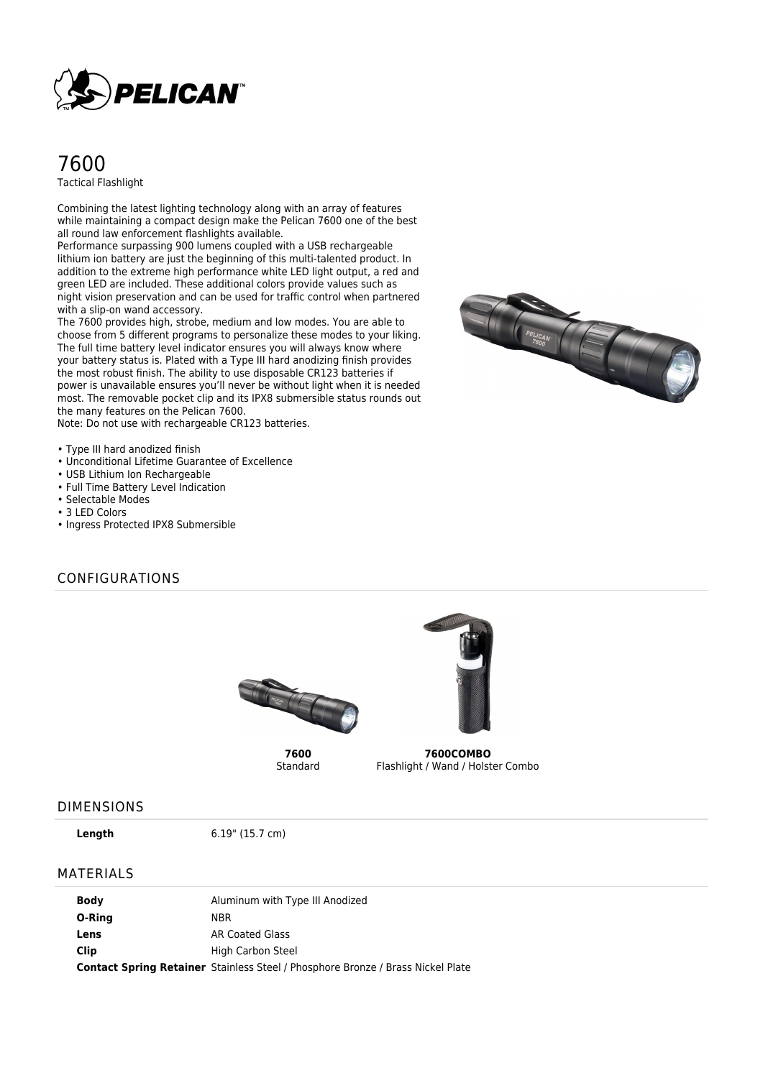

# 7600 Tactical Flashlight

Combining the latest lighting technology along with an array of features while maintaining a compact design make the Pelican 7600 one of the best all round law enforcement flashlights available.

Performance surpassing 900 lumens coupled with a USB rechargeable lithium ion battery are just the beginning of this multi-talented product. In addition to the extreme high performance white LED light output, a red and green LED are included. These additional colors provide values such as night vision preservation and can be used for traffic control when partnered with a slip-on wand accessory.

The 7600 provides high, strobe, medium and low modes. You are able to choose from 5 different programs to personalize these modes to your liking. The full time battery level indicator ensures you will always know where your battery status is. Plated with a Type III hard anodizing finish provides the most robust finish. The ability to use disposable CR123 batteries if power is unavailable ensures you'll never be without light when it is needed most. The removable pocket clip and its IPX8 submersible status rounds out the many features on the Pelican 7600.

Note: Do not use with rechargeable CR123 batteries.



- Unconditional Lifetime Guarantee of Excellence
- USB Lithium Ion Rechargeable
- Full Time Battery Level Indication
- Selectable Modes
- 3 LED Colors
- Ingress Protected IPX8 Submersible

#### CONFIGURATIONS



**7600** Standard



**7600COMBO** Flashlight / Wand / Holster Combo

#### DIMENSIONS

**Length** 6.19" (15.7 cm)

#### MATERIALS

| <b>Body</b> | Aluminum with Type III Anodized                                                        |
|-------------|----------------------------------------------------------------------------------------|
| O-Ring      | NBR.                                                                                   |
| Lens        | AR Coated Glass                                                                        |
| Clip        | High Carbon Steel                                                                      |
|             | <b>Contact Spring Retainer</b> Stainless Steel / Phosphore Bronze / Brass Nickel Plate |

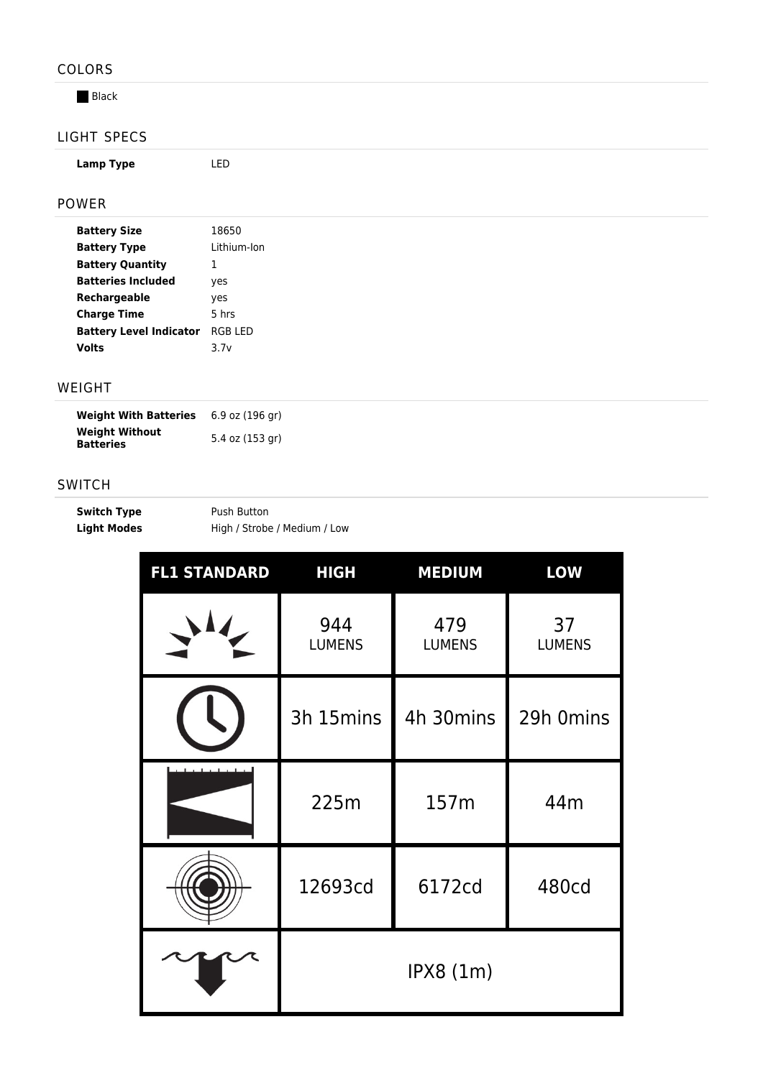## COLORS

**Black** 

# LIGHT SPECS

**Lamp Type** LED

POWER

| <b>Battery Size</b>            | 18650       |  |
|--------------------------------|-------------|--|
| <b>Battery Type</b>            | Lithium-Ion |  |
| <b>Battery Quantity</b>        | 1           |  |
| <b>Batteries Included</b>      | ves         |  |
| Rechargeable                   | yes         |  |
| <b>Charge Time</b>             | 5 hrs       |  |
| <b>Battery Level Indicator</b> | RGB I FD    |  |
| Volts                          | 3.7v        |  |

### WEIGHT

| <b>Weight With Batteries</b>              | 6.9 oz (196 gr) |
|-------------------------------------------|-----------------|
| <b>Weight Without</b><br><b>Batteries</b> | 5.4 oz (153 gr) |

### SWITCH

| <b>Switch Type</b> | Push Button                  |
|--------------------|------------------------------|
| <b>Light Modes</b> | High / Strobe / Medium / Low |

| <b>FL1 STANDARD</b> | <b>HIGH</b>          | <b>MEDIUM</b>        | <b>LOW</b>          |
|---------------------|----------------------|----------------------|---------------------|
|                     | 944<br><b>LUMENS</b> | 479<br><b>LUMENS</b> | 37<br><b>LUMENS</b> |
|                     | 3h 15mins            | 4h 30mins            | 29h 0mins           |
|                     | 225m                 | 157m                 | 44m                 |
|                     | 12693cd              | 6172cd               | <b>480cd</b>        |
|                     | IPX8(1m)             |                      |                     |